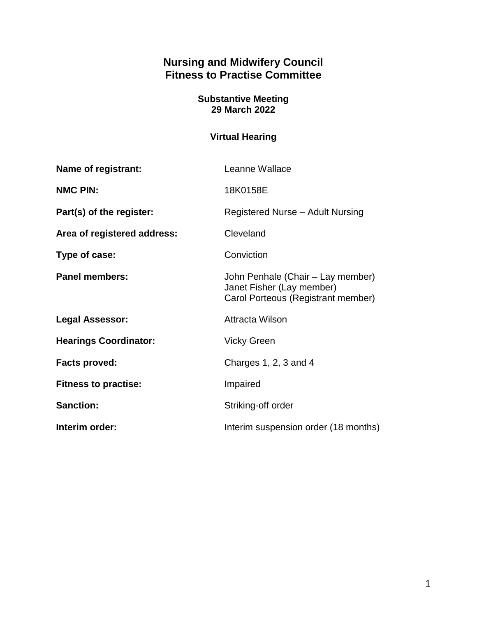# **Nursing and Midwifery Council Fitness to Practise Committee**

#### **Substantive Meeting 29 March 2022**

# **Virtual Hearing**

| Name of registrant:          | Leanne Wallace                                                                                       |
|------------------------------|------------------------------------------------------------------------------------------------------|
| <b>NMC PIN:</b>              | 18K0158E                                                                                             |
| Part(s) of the register:     | Registered Nurse - Adult Nursing                                                                     |
| Area of registered address:  | Cleveland                                                                                            |
| Type of case:                | Conviction                                                                                           |
| <b>Panel members:</b>        | John Penhale (Chair – Lay member)<br>Janet Fisher (Lay member)<br>Carol Porteous (Registrant member) |
| <b>Legal Assessor:</b>       | <b>Attracta Wilson</b>                                                                               |
| <b>Hearings Coordinator:</b> | <b>Vicky Green</b>                                                                                   |
| <b>Facts proved:</b>         | Charges $1, 2, 3$ and $4$                                                                            |
| <b>Fitness to practise:</b>  | Impaired                                                                                             |
| <b>Sanction:</b>             | Striking-off order                                                                                   |
| Interim order:               | Interim suspension order (18 months)                                                                 |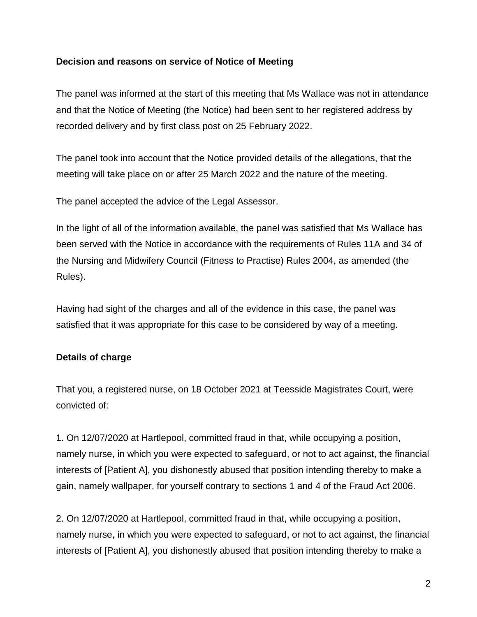### **Decision and reasons on service of Notice of Meeting**

The panel was informed at the start of this meeting that Ms Wallace was not in attendance and that the Notice of Meeting (the Notice) had been sent to her registered address by recorded delivery and by first class post on 25 February 2022.

The panel took into account that the Notice provided details of the allegations, that the meeting will take place on or after 25 March 2022 and the nature of the meeting.

The panel accepted the advice of the Legal Assessor.

In the light of all of the information available, the panel was satisfied that Ms Wallace has been served with the Notice in accordance with the requirements of Rules 11A and 34 of the Nursing and Midwifery Council (Fitness to Practise) Rules 2004, as amended (the Rules).

Having had sight of the charges and all of the evidence in this case, the panel was satisfied that it was appropriate for this case to be considered by way of a meeting.

# **Details of charge**

That you, a registered nurse, on 18 October 2021 at Teesside Magistrates Court, were convicted of:

1. On 12/07/2020 at Hartlepool, committed fraud in that, while occupying a position, namely nurse, in which you were expected to safeguard, or not to act against, the financial interests of [Patient A], you dishonestly abused that position intending thereby to make a gain, namely wallpaper, for yourself contrary to sections 1 and 4 of the Fraud Act 2006.

2. On 12/07/2020 at Hartlepool, committed fraud in that, while occupying a position, namely nurse, in which you were expected to safeguard, or not to act against, the financial interests of [Patient A], you dishonestly abused that position intending thereby to make a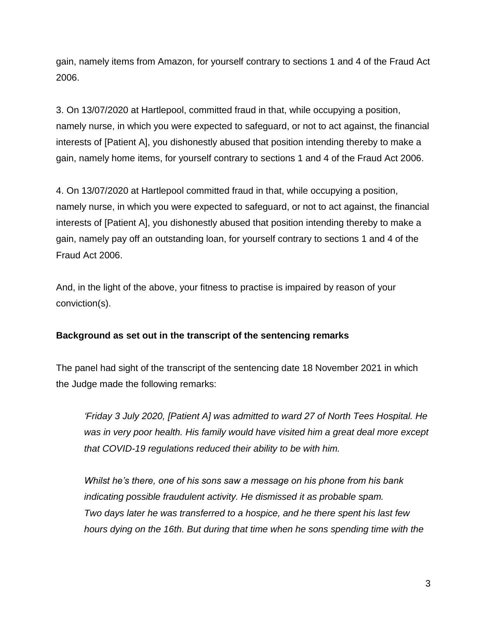gain, namely items from Amazon, for yourself contrary to sections 1 and 4 of the Fraud Act 2006.

3. On 13/07/2020 at Hartlepool, committed fraud in that, while occupying a position, namely nurse, in which you were expected to safeguard, or not to act against, the financial interests of [Patient A], you dishonestly abused that position intending thereby to make a gain, namely home items, for yourself contrary to sections 1 and 4 of the Fraud Act 2006.

4. On 13/07/2020 at Hartlepool committed fraud in that, while occupying a position, namely nurse, in which you were expected to safeguard, or not to act against, the financial interests of [Patient A], you dishonestly abused that position intending thereby to make a gain, namely pay off an outstanding loan, for yourself contrary to sections 1 and 4 of the Fraud Act 2006.

And, in the light of the above, your fitness to practise is impaired by reason of your conviction(s).

# **Background as set out in the transcript of the sentencing remarks**

The panel had sight of the transcript of the sentencing date 18 November 2021 in which the Judge made the following remarks:

*'Friday 3 July 2020, [Patient A] was admitted to ward 27 of North Tees Hospital. He was in very poor health. His family would have visited him a great deal more except that COVID-19 regulations reduced their ability to be with him.*

*Whilst he's there, one of his sons saw a message on his phone from his bank indicating possible fraudulent activity. He dismissed it as probable spam. Two days later he was transferred to a hospice, and he there spent his last few hours dying on the 16th. But during that time when he sons spending time with the*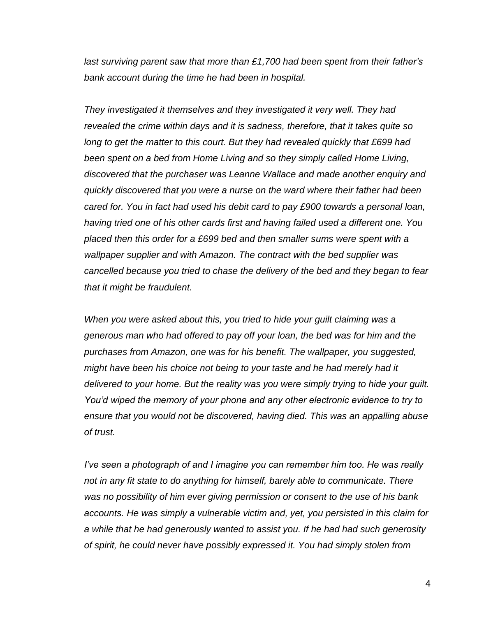*last surviving parent saw that more than £1,700 had been spent from their father's bank account during the time he had been in hospital.*

*They investigated it themselves and they investigated it very well. They had revealed the crime within days and it is sadness, therefore, that it takes quite so long to get the matter to this court. But they had revealed quickly that £699 had been spent on a bed from Home Living and so they simply called Home Living, discovered that the purchaser was Leanne Wallace and made another enquiry and quickly discovered that you were a nurse on the ward where their father had been cared for. You in fact had used his debit card to pay £900 towards a personal loan, having tried one of his other cards first and having failed used a different one. You placed then this order for a £699 bed and then smaller sums were spent with a wallpaper supplier and with Amazon. The contract with the bed supplier was cancelled because you tried to chase the delivery of the bed and they began to fear that it might be fraudulent.*

*When you were asked about this, you tried to hide your guilt claiming was a generous man who had offered to pay off your loan, the bed was for him and the purchases from Amazon, one was for his benefit. The wallpaper, you suggested, might have been his choice not being to your taste and he had merely had it delivered to your home. But the reality was you were simply trying to hide your guilt. You'd wiped the memory of your phone and any other electronic evidence to try to ensure that you would not be discovered, having died. This was an appalling abuse of trust.*

*I've seen a photograph of and I imagine you can remember him too. He was really not in any fit state to do anything for himself, barely able to communicate. There was no possibility of him ever giving permission or consent to the use of his bank accounts. He was simply a vulnerable victim and, yet, you persisted in this claim for a while that he had generously wanted to assist you. If he had had such generosity of spirit, he could never have possibly expressed it. You had simply stolen from*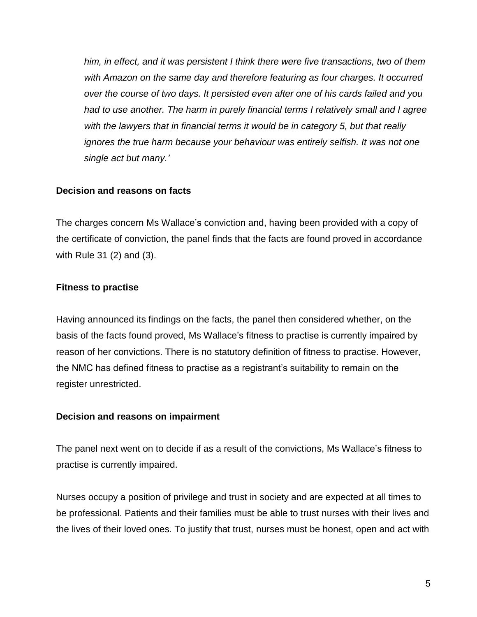*him, in effect, and it was persistent I think there were five transactions, two of them*  with Amazon on the same day and therefore featuring as four charges. It occurred *over the course of two days. It persisted even after one of his cards failed and you had to use another. The harm in purely financial terms I relatively small and I agree with the lawyers that in financial terms it would be in category 5, but that really ignores the true harm because your behaviour was entirely selfish. It was not one single act but many.'*

#### **Decision and reasons on facts**

The charges concern Ms Wallace's conviction and, having been provided with a copy of the certificate of conviction, the panel finds that the facts are found proved in accordance with Rule 31 (2) and (3).

# **Fitness to practise**

Having announced its findings on the facts, the panel then considered whether, on the basis of the facts found proved, Ms Wallace's fitness to practise is currently impaired by reason of her convictions. There is no statutory definition of fitness to practise. However, the NMC has defined fitness to practise as a registrant's suitability to remain on the register unrestricted.

#### **Decision and reasons on impairment**

The panel next went on to decide if as a result of the convictions, Ms Wallace's fitness to practise is currently impaired.

Nurses occupy a position of privilege and trust in society and are expected at all times to be professional. Patients and their families must be able to trust nurses with their lives and the lives of their loved ones. To justify that trust, nurses must be honest, open and act with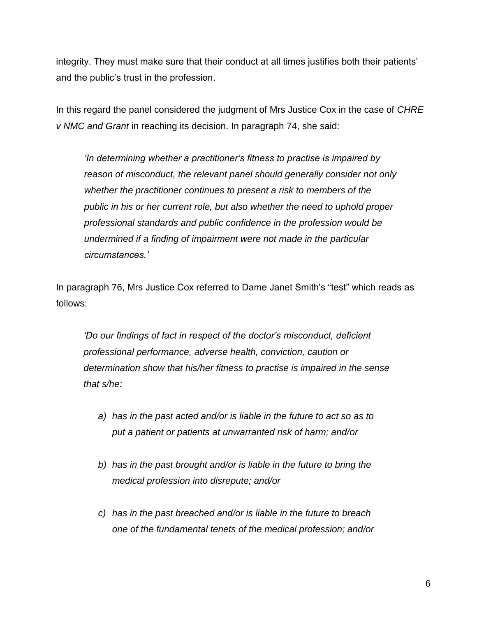integrity. They must make sure that their conduct at all times justifies both their patients' and the public's trust in the profession.

In this regard the panel considered the judgment of Mrs Justice Cox in the case of *CHRE v NMC and Grant* in reaching its decision. In paragraph 74, she said:

*'In determining whether a practitioner's fitness to practise is impaired by reason of misconduct, the relevant panel should generally consider not only whether the practitioner continues to present a risk to members of the public in his or her current role, but also whether the need to uphold proper professional standards and public confidence in the profession would be undermined if a finding of impairment were not made in the particular circumstances.'*

In paragraph 76, Mrs Justice Cox referred to Dame Janet Smith's "test" which reads as follows:

*'Do our findings of fact in respect of the doctor's misconduct, deficient professional performance, adverse health, conviction, caution or determination show that his/her fitness to practise is impaired in the sense that s/he:*

- *a) has in the past acted and/or is liable in the future to act so as to put a patient or patients at unwarranted risk of harm; and/or*
- *b) has in the past brought and/or is liable in the future to bring the medical profession into disrepute; and/or*
- *c) has in the past breached and/or is liable in the future to breach one of the fundamental tenets of the medical profession; and/or*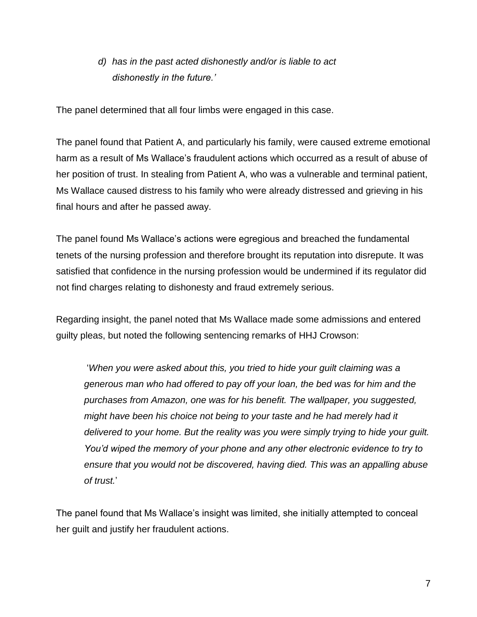*d) has in the past acted dishonestly and/or is liable to act dishonestly in the future.'*

The panel determined that all four limbs were engaged in this case.

The panel found that Patient A, and particularly his family, were caused extreme emotional harm as a result of Ms Wallace's fraudulent actions which occurred as a result of abuse of her position of trust. In stealing from Patient A, who was a vulnerable and terminal patient, Ms Wallace caused distress to his family who were already distressed and grieving in his final hours and after he passed away.

The panel found Ms Wallace's actions were egregious and breached the fundamental tenets of the nursing profession and therefore brought its reputation into disrepute. It was satisfied that confidence in the nursing profession would be undermined if its regulator did not find charges relating to dishonesty and fraud extremely serious.

Regarding insight, the panel noted that Ms Wallace made some admissions and entered guilty pleas, but noted the following sentencing remarks of HHJ Crowson:

'*When you were asked about this, you tried to hide your guilt claiming was a generous man who had offered to pay off your loan, the bed was for him and the purchases from Amazon, one was for his benefit. The wallpaper, you suggested, might have been his choice not being to your taste and he had merely had it delivered to your home. But the reality was you were simply trying to hide your guilt. You'd wiped the memory of your phone and any other electronic evidence to try to ensure that you would not be discovered, having died. This was an appalling abuse of trust.*'

The panel found that Ms Wallace's insight was limited, she initially attempted to conceal her guilt and justify her fraudulent actions.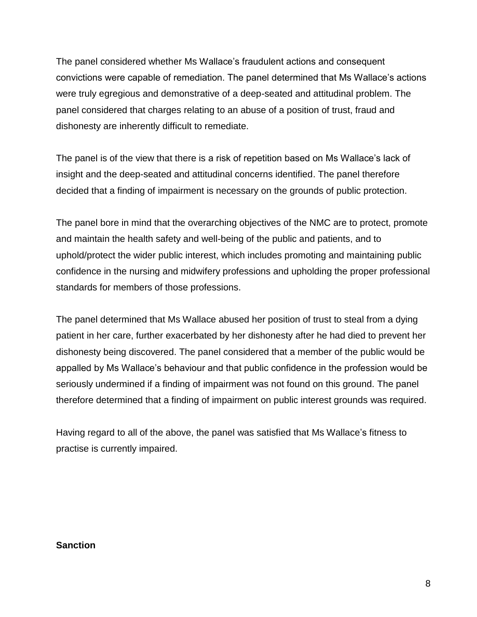The panel considered whether Ms Wallace's fraudulent actions and consequent convictions were capable of remediation. The panel determined that Ms Wallace's actions were truly egregious and demonstrative of a deep-seated and attitudinal problem. The panel considered that charges relating to an abuse of a position of trust, fraud and dishonesty are inherently difficult to remediate.

The panel is of the view that there is a risk of repetition based on Ms Wallace's lack of insight and the deep-seated and attitudinal concerns identified. The panel therefore decided that a finding of impairment is necessary on the grounds of public protection.

The panel bore in mind that the overarching objectives of the NMC are to protect, promote and maintain the health safety and well-being of the public and patients, and to uphold/protect the wider public interest, which includes promoting and maintaining public confidence in the nursing and midwifery professions and upholding the proper professional standards for members of those professions.

The panel determined that Ms Wallace abused her position of trust to steal from a dying patient in her care, further exacerbated by her dishonesty after he had died to prevent her dishonesty being discovered. The panel considered that a member of the public would be appalled by Ms Wallace's behaviour and that public confidence in the profession would be seriously undermined if a finding of impairment was not found on this ground. The panel therefore determined that a finding of impairment on public interest grounds was required.

Having regard to all of the above, the panel was satisfied that Ms Wallace's fitness to practise is currently impaired.

#### **Sanction**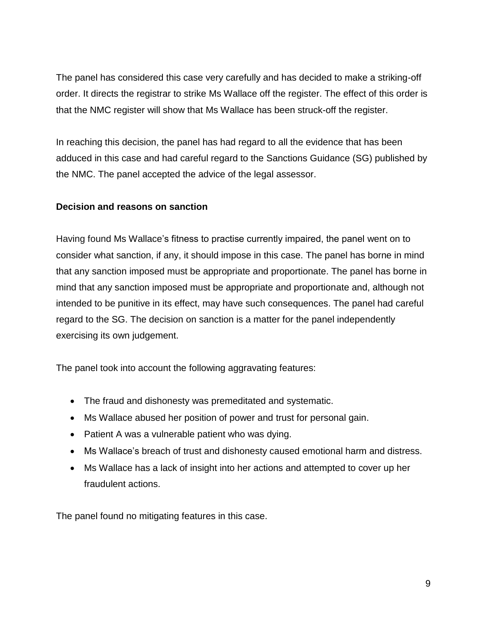The panel has considered this case very carefully and has decided to make a striking-off order. It directs the registrar to strike Ms Wallace off the register. The effect of this order is that the NMC register will show that Ms Wallace has been struck-off the register.

In reaching this decision, the panel has had regard to all the evidence that has been adduced in this case and had careful regard to the Sanctions Guidance (SG) published by the NMC. The panel accepted the advice of the legal assessor.

# **Decision and reasons on sanction**

Having found Ms Wallace's fitness to practise currently impaired, the panel went on to consider what sanction, if any, it should impose in this case. The panel has borne in mind that any sanction imposed must be appropriate and proportionate. The panel has borne in mind that any sanction imposed must be appropriate and proportionate and, although not intended to be punitive in its effect, may have such consequences. The panel had careful regard to the SG. The decision on sanction is a matter for the panel independently exercising its own judgement.

The panel took into account the following aggravating features:

- The fraud and dishonesty was premeditated and systematic.
- Ms Wallace abused her position of power and trust for personal gain.
- Patient A was a vulnerable patient who was dying.
- Ms Wallace's breach of trust and dishonesty caused emotional harm and distress.
- Ms Wallace has a lack of insight into her actions and attempted to cover up her fraudulent actions.

The panel found no mitigating features in this case.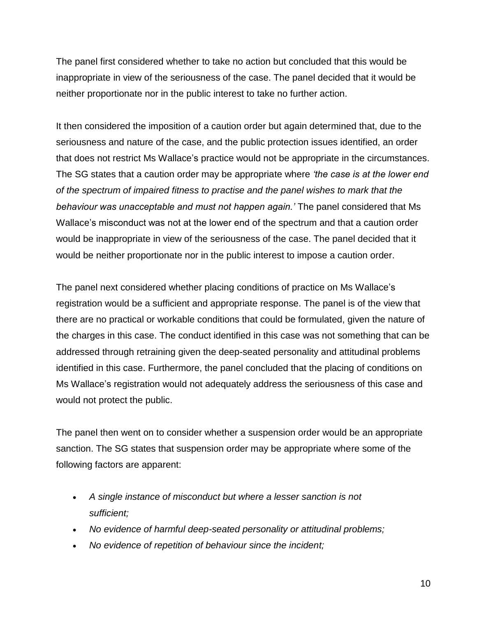The panel first considered whether to take no action but concluded that this would be inappropriate in view of the seriousness of the case. The panel decided that it would be neither proportionate nor in the public interest to take no further action.

It then considered the imposition of a caution order but again determined that, due to the seriousness and nature of the case, and the public protection issues identified, an order that does not restrict Ms Wallace's practice would not be appropriate in the circumstances. The SG states that a caution order may be appropriate where *'the case is at the lower end of the spectrum of impaired fitness to practise and the panel wishes to mark that the behaviour was unacceptable and must not happen again.'* The panel considered that Ms Wallace's misconduct was not at the lower end of the spectrum and that a caution order would be inappropriate in view of the seriousness of the case. The panel decided that it would be neither proportionate nor in the public interest to impose a caution order.

The panel next considered whether placing conditions of practice on Ms Wallace's registration would be a sufficient and appropriate response. The panel is of the view that there are no practical or workable conditions that could be formulated, given the nature of the charges in this case. The conduct identified in this case was not something that can be addressed through retraining given the deep-seated personality and attitudinal problems identified in this case. Furthermore, the panel concluded that the placing of conditions on Ms Wallace's registration would not adequately address the seriousness of this case and would not protect the public.

The panel then went on to consider whether a suspension order would be an appropriate sanction. The SG states that suspension order may be appropriate where some of the following factors are apparent:

- *A single instance of misconduct but where a lesser sanction is not sufficient;*
- *No evidence of harmful deep-seated personality or attitudinal problems;*
- *No evidence of repetition of behaviour since the incident;*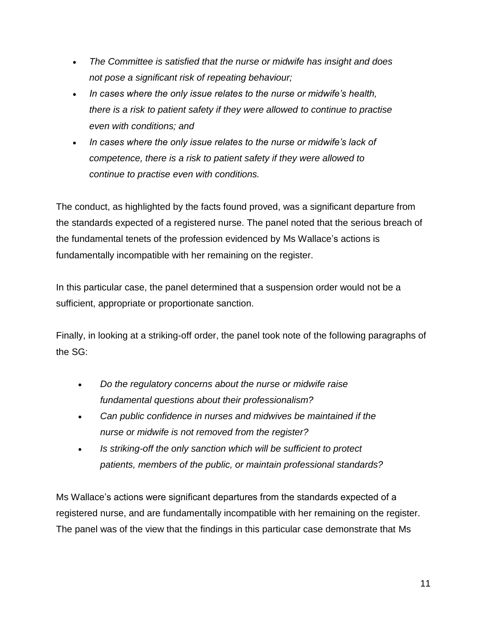- *The Committee is satisfied that the nurse or midwife has insight and does not pose a significant risk of repeating behaviour;*
- *In cases where the only issue relates to the nurse or midwife's health, there is a risk to patient safety if they were allowed to continue to practise even with conditions; and*
- *In cases where the only issue relates to the nurse or midwife's lack of competence, there is a risk to patient safety if they were allowed to continue to practise even with conditions.*

The conduct, as highlighted by the facts found proved, was a significant departure from the standards expected of a registered nurse. The panel noted that the serious breach of the fundamental tenets of the profession evidenced by Ms Wallace's actions is fundamentally incompatible with her remaining on the register.

In this particular case, the panel determined that a suspension order would not be a sufficient, appropriate or proportionate sanction.

Finally, in looking at a striking-off order, the panel took note of the following paragraphs of the SG:

- *Do the regulatory concerns about the nurse or midwife raise fundamental questions about their professionalism?*
- *Can public confidence in nurses and midwives be maintained if the nurse or midwife is not removed from the register?*
- *Is striking-off the only sanction which will be sufficient to protect patients, members of the public, or maintain professional standards?*

Ms Wallace's actions were significant departures from the standards expected of a registered nurse, and are fundamentally incompatible with her remaining on the register. The panel was of the view that the findings in this particular case demonstrate that Ms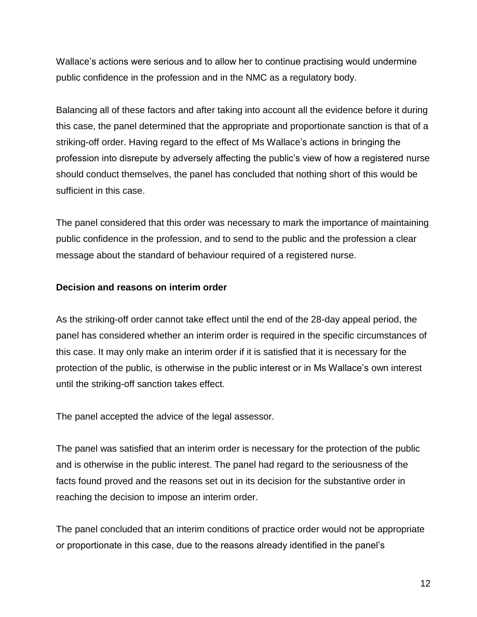Wallace's actions were serious and to allow her to continue practising would undermine public confidence in the profession and in the NMC as a regulatory body.

Balancing all of these factors and after taking into account all the evidence before it during this case, the panel determined that the appropriate and proportionate sanction is that of a striking-off order. Having regard to the effect of Ms Wallace's actions in bringing the profession into disrepute by adversely affecting the public's view of how a registered nurse should conduct themselves, the panel has concluded that nothing short of this would be sufficient in this case.

The panel considered that this order was necessary to mark the importance of maintaining public confidence in the profession, and to send to the public and the profession a clear message about the standard of behaviour required of a registered nurse.

# **Decision and reasons on interim order**

As the striking-off order cannot take effect until the end of the 28-day appeal period, the panel has considered whether an interim order is required in the specific circumstances of this case. It may only make an interim order if it is satisfied that it is necessary for the protection of the public, is otherwise in the public interest or in Ms Wallace's own interest until the striking-off sanction takes effect.

The panel accepted the advice of the legal assessor.

The panel was satisfied that an interim order is necessary for the protection of the public and is otherwise in the public interest. The panel had regard to the seriousness of the facts found proved and the reasons set out in its decision for the substantive order in reaching the decision to impose an interim order.

The panel concluded that an interim conditions of practice order would not be appropriate or proportionate in this case, due to the reasons already identified in the panel's